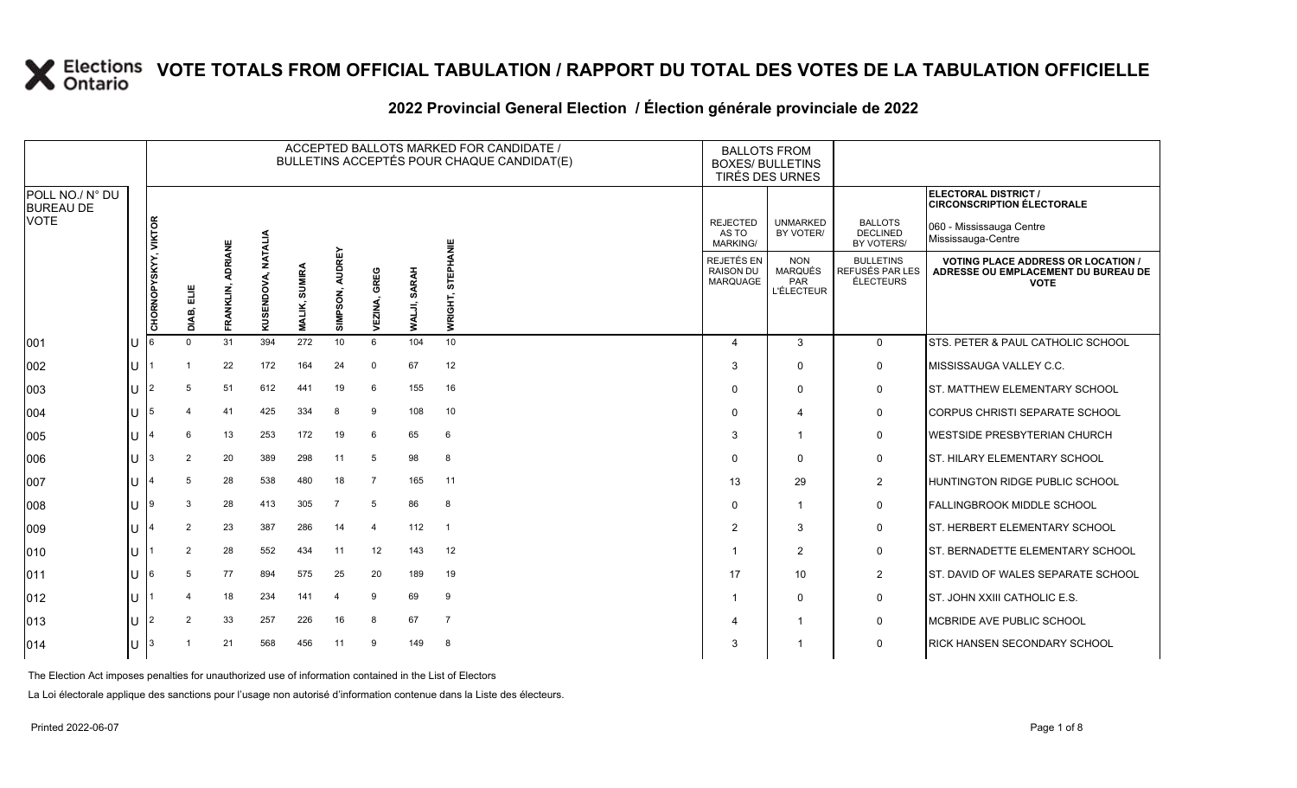#### ACCEPTED BALLOTS MARKED FOR CANDIDATE / BULLETINS ACCEPTÉS POUR CHAQUE CANDIDAT(E) BALLOTS FROM<br>BOXES/ BULLETINS TIRÉS DES URNES **ELECTORAL DISTRICT / CIRCONSCRIPTION ÉLECTORALE VIKTOR ALIA NIE**  REJECTED AS TO MARKING/ UNMARKED BY VOTER/ BALLOTS DECLINED BY VOTERS/ 060 - Mississauga Centre Mississauga-Centre REJETÉS EN RAISON DU MARQUAGE NON MARQUÉS PAR BULLETINS REFUSÉS PAR LES ÉLECTEURS **VOTE**

|                                     |     |                      |          |                |            |        |                |                |              |                |                                             | TIRÉS DES URNES                                   |                                                         |                                                                                                 |
|-------------------------------------|-----|----------------------|----------|----------------|------------|--------|----------------|----------------|--------------|----------------|---------------------------------------------|---------------------------------------------------|---------------------------------------------------------|-------------------------------------------------------------------------------------------------|
| POLL NO./ N° DU<br><b>BUREAU DE</b> |     |                      |          |                |            |        |                |                |              |                |                                             |                                                   |                                                         | <b>ELECTORAL DISTRICT /</b><br><b>CIRCONSCRIPTION ÉLECTORALE</b>                                |
| <b>VOTE</b>                         |     | $\frac{1}{\sqrt{2}}$ |          |                | NATALIA    |        |                |                |              | IANIE          | <b>REJECTED</b><br>AS TO<br><b>MARKING/</b> | <b>UNMARKED</b><br>BY VOTER/                      | <b>BALLOTS</b><br><b>DECLINED</b><br>BY VOTERS/         | 060 - Mississauga Centre<br>Mississauga-Centre                                                  |
|                                     |     | CHORNOPYSKYY,        | 븹        | <b>ADRIANE</b> | KUSENDOVA, | SUMIRA | <b>AUDREY</b>  | GREG           | <b>SARAH</b> | ш<br>등         | REJETÉS EN<br><b>RAISON DU</b><br>MARQUAGE  | <b>NON</b><br>MARQUÉS<br>PAR<br><b>L'ÉLECTEUR</b> | <b>BULLETINS</b><br><b>REFUSÉS PAR LES</b><br>ÉLECTEURS | <b>VOTING PLACE ADDRESS OR LOCATION /</b><br>ADRESSE OU EMPLACEMENT DU BUREAU DE<br><b>VOTE</b> |
|                                     |     |                      | DIAB,    | FRANKLIN,      |            | MALIK, | SIMPSON,       | EZINA<br>>     | WALJI,       | ō<br>훈<br>š.   |                                             |                                                   |                                                         |                                                                                                 |
| 001                                 | IU  |                      | $\Omega$ | 31             | 394        | 272    | 10             | 6              | 104          | 10             | 4                                           | 3                                                 | $\mathbf 0$                                             | STS. PETER & PAUL CATHOLIC SCHOOL                                                               |
| 002                                 | ПJ  |                      |          | 22             | 172        | 164    | 24             | $\Omega$       | 67           | 12             | 3                                           | $\Omega$                                          | 0                                                       | MISSISSAUGA VALLEY C.C.                                                                         |
| 003                                 | IU. |                      | 5        | 51             | 612        | 441    | 19             | 6              | 155          | 16             | 0                                           | $\Omega$                                          | 0                                                       | <b>ST. MATTHEW ELEMENTARY SCHOOL</b>                                                            |
| 004                                 | ΙU  | 15                   | 4        | 41             | 425        | 334    | 8              | 9              | 108          | 10             | 0                                           | 4                                                 | $\mathbf 0$                                             | <b>CORPUS CHRISTI SEPARATE SCHOOL</b>                                                           |
| 005                                 | IU. |                      | 6        | 13             | 253        | 172    | 19             | 6              | 65           | 6              | 3                                           | -1                                                | 0                                                       | WESTSIDE PRESBYTERIAN CHURCH                                                                    |
| 006                                 | IU. |                      | 2        | 20             | 389        | 298    | 11             | 5              | 98           | 8              | $\Omega$                                    | $\Omega$                                          | 0                                                       | <b>ST. HILARY ELEMENTARY SCHOOL</b>                                                             |
| 007                                 | ΙU  |                      | 5        | 28             | 538        | 480    | 18             | -7             | 165          | 11             | 13                                          | 29                                                | $\overline{2}$                                          | <b>HUNTINGTON RIDGE PUBLIC SCHOOL</b>                                                           |
| 008                                 | ПJ  |                      | 3        | 28             | 413        | 305    | $\overline{7}$ | 5              | 86           | 8              | 0                                           | -1                                                | $\mathbf 0$                                             | <b>FALLINGBROOK MIDDLE SCHOOL</b>                                                               |
| 009                                 | IU. |                      | 2        | 23             | 387        | 286    | 14             | $\overline{4}$ | 112          | -1             | $\overline{2}$                              | 3                                                 | 0                                                       | ST. HERBERT ELEMENTARY SCHOOL                                                                   |
| 010                                 | lU  |                      | 2        | 28             | 552        | 434    | 11             | 12             | 143          | 12             |                                             | $\overline{2}$                                    | 0                                                       | <b>ST. BERNADETTE ELEMENTARY SCHOOL</b>                                                         |
| 011                                 | ΙU  |                      | 5        | 77             | 894        | 575    | 25             | 20             | 189          | 19             | 17                                          | 10                                                | $\overline{c}$                                          | ST. DAVID OF WALES SEPARATE SCHOOL                                                              |
| 012                                 | IU. |                      |          | 18             | 234        | 141    | 4              | 9              | 69           | 9              |                                             | $\Omega$                                          | 0                                                       | ST. JOHN XXIII CATHOLIC E.S.                                                                    |
| 013                                 | IU  |                      | 2        | 33             | 257        | 226    | 16             | 8              | 67           | $\overline{7}$ |                                             | 1                                                 | 0                                                       | MCBRIDE AVE PUBLIC SCHOOL                                                                       |
| 014                                 | ΙU  |                      |          | 21             | 568        | 456    | 11             | 9              | 149          | 8              | 3                                           |                                                   | $\mathbf 0$                                             | <b>RICK HANSEN SECONDARY SCHOOL</b>                                                             |
|                                     |     |                      |          |                |            |        |                |                |              |                |                                             |                                                   |                                                         |                                                                                                 |

The Election Act imposes penalties for unauthorized use of information contained in the List of Electors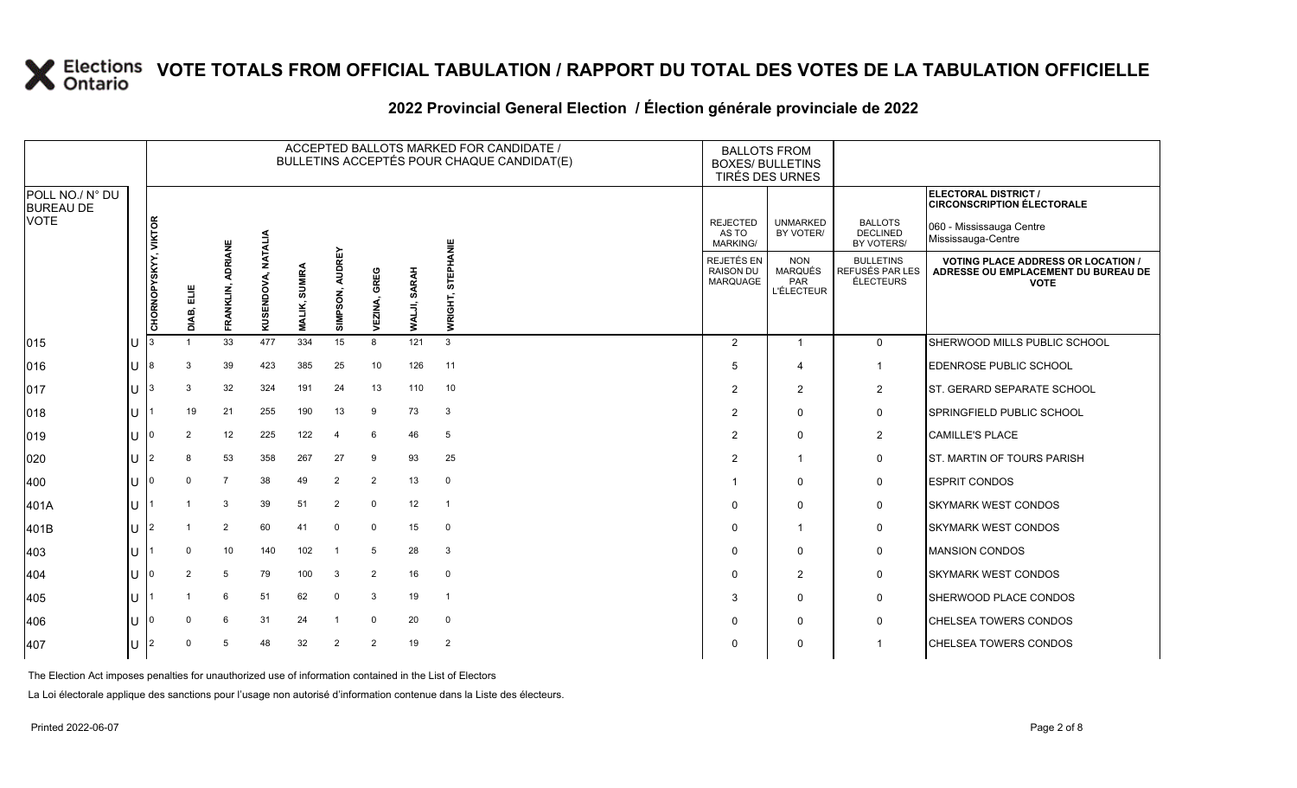### **2022 Provincial General Election / Élection générale provinciale de 2022**

|                                     |        |                      |                |                             |                       |                                |                           |                 |                        | ACCEPTED BALLOTS MARKED FOR CANDIDATE /<br>BULLETINS ACCEPTÉS POUR CHAQUE CANDIDAT(E) | <b>BALLOTS FROM</b><br><b>BOXES/ BULLETINS</b><br>TIRÉS DES URNES |                                                          |                                                   |                                                                |                                                                                                 |
|-------------------------------------|--------|----------------------|----------------|-----------------------------|-----------------------|--------------------------------|---------------------------|-----------------|------------------------|---------------------------------------------------------------------------------------|-------------------------------------------------------------------|----------------------------------------------------------|---------------------------------------------------|----------------------------------------------------------------|-------------------------------------------------------------------------------------------------|
| POLL NO./ N° DU<br><b>BUREAU DE</b> |        |                      |                |                             |                       |                                |                           |                 |                        |                                                                                       |                                                                   |                                                          |                                                   |                                                                | <b>ELECTORAL DISTRICT /</b><br><b>CIRCONSCRIPTION ÉLECTORALE</b>                                |
| <b>VOTE</b>                         |        |                      |                |                             |                       |                                |                           |                 |                        | <b>INNIE</b>                                                                          |                                                                   | <b>REJECTED</b><br>AS TO<br><b>MARKING/</b>              | <b>UNMARKED</b><br>BY VOTER/                      | <b>BALLOTS</b><br><b>DECLINED</b><br>BY VOTERS/                | 060 - Mississauga Centre<br>Mississauga-Centre                                                  |
|                                     |        | CHORNOPYSKYY, VIKTOR | 븺<br>DIAB,     | <b>ADRIANE</b><br>FRANKLIN, | NATALIA<br>KUSENDOVA, | <b>SUMIRA</b><br><b>MALIK,</b> | <b>AUDREY</b><br>SIMPSON, | GREG<br>VEZINA, | <b>SARAH</b><br>WALJI, | <b>STEPH</b><br>WRIGHT                                                                |                                                                   | <b>REJETÉS EN</b><br><b>RAISON DU</b><br><b>MARQUAGE</b> | <b>NON</b><br>MARQUÉS<br>PAR<br><b>L'ÉLECTEUR</b> | <b>BULLETINS</b><br><b>REFUSÉS PAR LES</b><br><b>ÉLECTEURS</b> | <b>VOTING PLACE ADDRESS OR LOCATION /</b><br>ADRESSE OU EMPLACEMENT DU BUREAU DE<br><b>VOTE</b> |
| 015                                 |        |                      |                | 33                          | 477                   | 334                            | 15                        | 8               | 121                    | 3                                                                                     |                                                                   | $\overline{2}$                                           | $\overline{1}$                                    | $\mathbf 0$                                                    | SHERWOOD MILLS PUBLIC SCHOOL                                                                    |
| 016                                 |        |                      | 3              | 39                          | 423                   | 385                            | 25                        | 10              | 126                    | 11                                                                                    |                                                                   | 5                                                        | $\overline{\mathbf{4}}$                           | $\mathbf 1$                                                    | EDENROSE PUBLIC SCHOOL                                                                          |
| 017                                 | lU.    |                      | 3              | 32                          | 324                   | 191                            | 24                        | 13              | 110                    | 10                                                                                    |                                                                   | 2                                                        | 2                                                 | 2                                                              | ST. GERARD SEPARATE SCHOOL                                                                      |
| 018                                 | U      |                      | 19             | 21                          | 255                   | 190                            | 13                        | 9               | 73                     | 3                                                                                     |                                                                   | $\overline{2}$                                           | 0                                                 | $\mathbf 0$                                                    | SPRINGFIELD PUBLIC SCHOOL                                                                       |
| 019                                 |        |                      | $\overline{2}$ | 12                          | 225                   | 122                            | $\overline{4}$            | 6               | 46                     | 5                                                                                     |                                                                   | $\overline{2}$                                           | $\mathbf 0$                                       | $\overline{2}$                                                 | <b>CAMILLE'S PLACE</b>                                                                          |
| 020                                 | U      |                      | 8              | 53                          | 358                   | 267                            | 27                        | 9               | 93                     | 25                                                                                    |                                                                   | 2                                                        |                                                   | $\mathbf 0$                                                    | <b>ST. MARTIN OF TOURS PARISH</b>                                                               |
| 400                                 | U      |                      | $\mathbf 0$    | $\overline{7}$              | 38                    | 49                             | $\overline{2}$            | $\overline{2}$  | 13                     | $\mathbf 0$                                                                           |                                                                   |                                                          | 0                                                 | $\mathbf 0$                                                    | <b>ESPRIT CONDOS</b>                                                                            |
| 401A                                | U      |                      |                | 3                           | 39                    | 51                             | $\overline{2}$            | $\mathbf 0$     | 12                     | $\overline{1}$                                                                        |                                                                   | 0                                                        | $\mathbf 0$                                       | $\mathbf 0$                                                    | <b>SKYMARK WEST CONDOS</b>                                                                      |
| 401B                                | lU.    |                      |                | 2                           | 60                    | 41                             | $\mathbf 0$               | $\mathbf 0$     | 15                     | $\Omega$                                                                              |                                                                   | 0                                                        |                                                   | 0                                                              | <b>SKYMARK WEST CONDOS</b>                                                                      |
| 403                                 | $\cup$ |                      | $\mathbf 0$    | 10 <sup>1</sup>             | 140                   | 102                            | $\overline{1}$            | 5               | 28                     | 3                                                                                     |                                                                   | $\Omega$                                                 | $\Omega$                                          | $\mathbf 0$                                                    | <b>MANSION CONDOS</b>                                                                           |
| 404                                 | U      |                      | $\overline{2}$ | 5                           | 79                    | 100                            | 3                         | 2               | 16                     | $\mathbf 0$                                                                           |                                                                   | $\Omega$                                                 | $\overline{2}$                                    | $\mathbf 0$                                                    | <b>SKYMARK WEST CONDOS</b>                                                                      |
| 405                                 | U      |                      |                | 6                           | 51                    | 62                             | $\mathbf 0$               | 3               | 19                     | $\overline{1}$                                                                        |                                                                   | 3                                                        | $\mathbf 0$                                       | $\mathbf 0$                                                    | SHERWOOD PLACE CONDOS                                                                           |
| 406                                 |        |                      | $\Omega$       | 6                           | 31                    | 24                             | - 1                       | $\mathbf 0$     | 20                     | $\mathbf 0$                                                                           |                                                                   | 0                                                        | 0                                                 | 0                                                              | CHELSEA TOWERS CONDOS                                                                           |
| 407                                 |        |                      | $\Omega$       | 5                           | 48                    | 32                             | $\overline{2}$            | 2               | 19                     | $\overline{2}$                                                                        |                                                                   | 0                                                        | $\mathbf 0$                                       | -1                                                             | <b>CHELSEA TOWERS CONDOS</b>                                                                    |

The Election Act imposes penalties for unauthorized use of information contained in the List of Electors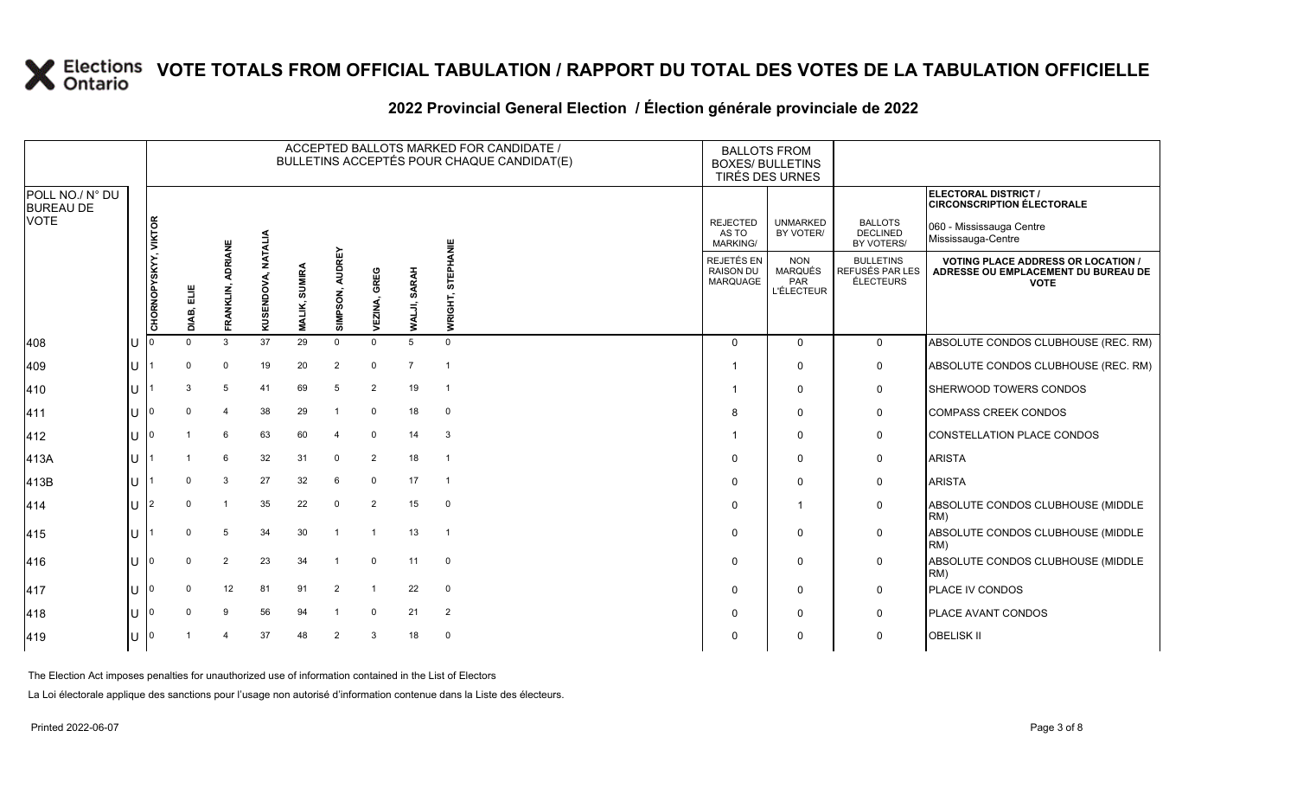#### **2022 Provincial General Election / Élection générale provinciale de 2022**

|                                     |   |                      |            |                             |            |                         |                           |                 |                        | ACCEPTED BALLOTS MARKED FOR CANDIDATE /<br>BULLETINS ACCEPTÉS POUR CHAQUE CANDIDAT(E) | <b>BALLOTS FROM</b><br><b>BOXES/ BULLETINS</b><br>TIRÉS DES URNES |                                                   |                                                  |                                                                                                 |
|-------------------------------------|---|----------------------|------------|-----------------------------|------------|-------------------------|---------------------------|-----------------|------------------------|---------------------------------------------------------------------------------------|-------------------------------------------------------------------|---------------------------------------------------|--------------------------------------------------|-------------------------------------------------------------------------------------------------|
| POLL NO./ N° DU<br><b>BUREAU DE</b> |   |                      |            |                             |            |                         |                           |                 |                        |                                                                                       |                                                                   |                                                   |                                                  | <b>ELECTORAL DISTRICT /</b><br><b>CIRCONSCRIPTION ÉLECTORALE</b>                                |
| <b>VOTE</b>                         |   |                      |            |                             | NATALIA    |                         |                           |                 |                        | ₩                                                                                     | <b>REJECTED</b><br>AS TO<br>MARKING/                              | <b>UNMARKED</b><br>BY VOTER/                      | <b>BALLOTS</b><br><b>DECLINED</b><br>BY VOTERS/  | 060 - Mississauga Centre<br>Mississauga-Centre                                                  |
|                                     |   | CHORNOPYSKYY, VIKTOR | DIAB, ELIE | <b>ADRIANE</b><br>FRANKLIN, | KUSENDOVA, | SUMIRA<br><b>MALIK,</b> | <b>AUDREY</b><br>SIMPSON, | GREG<br>VEZINA, | <b>SARAH</b><br>WALJI, | <b>STEPHA</b><br>WRIGHT,                                                              | REJETÉS EN<br><b>RAISON DU</b><br><b>MARQUAGE</b>                 | <b>NON</b><br>MARQUÉS<br>PAR<br><b>L'ÉLECTEUR</b> | <b>BULLETINS</b><br>REFUSÉS PAR LES<br>ÉLECTEURS | <b>VOTING PLACE ADDRESS OR LOCATION /</b><br>ADRESSE OU EMPLACEMENT DU BUREAU DE<br><b>VOTE</b> |
| 408                                 | U |                      | $\Omega$   | 3                           | 37         | 29                      | $\Omega$                  | $\Omega$        | 5                      | $\Omega$                                                                              | $\Omega$                                                          | $\Omega$                                          | $\mathbf 0$                                      | ABSOLUTE CONDOS CLUBHOUSE (REC. RM)                                                             |
| 409                                 | U |                      | $\Omega$   | $\mathbf 0$                 | 19         | 20                      | $\overline{2}$            | $\mathbf 0$     | $\overline{7}$         |                                                                                       |                                                                   | $\Omega$                                          | 0                                                | ABSOLUTE CONDOS CLUBHOUSE (REC. RM)                                                             |
| 410                                 | U |                      | 3          | 5                           | 41         | 69                      | 5                         | $\overline{2}$  | 19                     | $\overline{1}$                                                                        | -1                                                                | $\mathbf{0}$                                      | $\mathbf 0$                                      | SHERWOOD TOWERS CONDOS                                                                          |
| 411                                 | U | n                    |            | $\overline{4}$              | 38         | 29                      |                           | $\mathbf 0$     | 18                     | $\mathbf 0$                                                                           | 8                                                                 | $\Omega$                                          | $\mathbf 0$                                      | <b>COMPASS CREEK CONDOS</b>                                                                     |
| 412                                 | U | I٥                   |            | 6                           | 63         | 60                      | $\overline{a}$            | $\Omega$        | 14                     | 3                                                                                     |                                                                   | $\Omega$                                          | $\mathbf 0$                                      | CONSTELLATION PLACE CONDOS                                                                      |
| 413A                                | U |                      |            | 6                           | 32         | 31                      | $\Omega$                  | $\overline{2}$  | 18                     | $\overline{1}$                                                                        | $\Omega$                                                          | $\Omega$                                          | 0                                                | <b>ARISTA</b>                                                                                   |
| 413B                                | U |                      | $\Omega$   | 3                           | 27         | 32                      | 6                         | $\Omega$        | 17                     |                                                                                       | $\Omega$                                                          | $\mathbf 0$                                       | 0                                                | <b>ARISTA</b>                                                                                   |
| 414                                 | U | 2                    |            | $\overline{1}$              | 35         | 22                      | $\Omega$                  | 2               | 15                     | $\mathbf 0$                                                                           | $\Omega$                                                          |                                                   | $\mathbf 0$                                      | ABSOLUTE CONDOS CLUBHOUSE (MIDDLE<br>RM)                                                        |
| 415                                 | U |                      |            | 5                           | 34         | 30                      |                           |                 | 13                     | $\overline{1}$                                                                        | $\mathbf{0}$                                                      | $\Omega$                                          | $\mathbf 0$                                      | ABSOLUTE CONDOS CLUBHOUSE (MIDDLE<br>RM)                                                        |
| 416                                 | U |                      |            | $\overline{2}$              | 23         | 34                      |                           | $\Omega$        | 11                     | $\mathbf 0$                                                                           | $\Omega$                                                          | $\Omega$                                          | $\mathbf 0$                                      | ABSOLUTE CONDOS CLUBHOUSE (MIDDLE<br>RM)                                                        |
| 417                                 | U |                      |            | 12                          | 81         | 91                      | $\overline{2}$            |                 | 22                     | $\mathbf 0$                                                                           | $\Omega$                                                          | $\mathbf 0$                                       | 0                                                | PLACE IV CONDOS                                                                                 |
| 418                                 | U | I٥                   |            | 9                           | 56         | 94                      |                           | $\mathbf 0$     | 21                     | $\overline{2}$                                                                        | $\Omega$                                                          | $\mathbf 0$                                       | 0                                                | PLACE AVANT CONDOS                                                                              |
| 419                                 | U |                      |            |                             | 37         | 48                      | $\mathcal{P}$             | 3               | 18                     | $\Omega$                                                                              | $\Omega$                                                          | $\Omega$                                          | $\mathbf 0$                                      | <b>OBELISK II</b>                                                                               |

The Election Act imposes penalties for unauthorized use of information contained in the List of Electors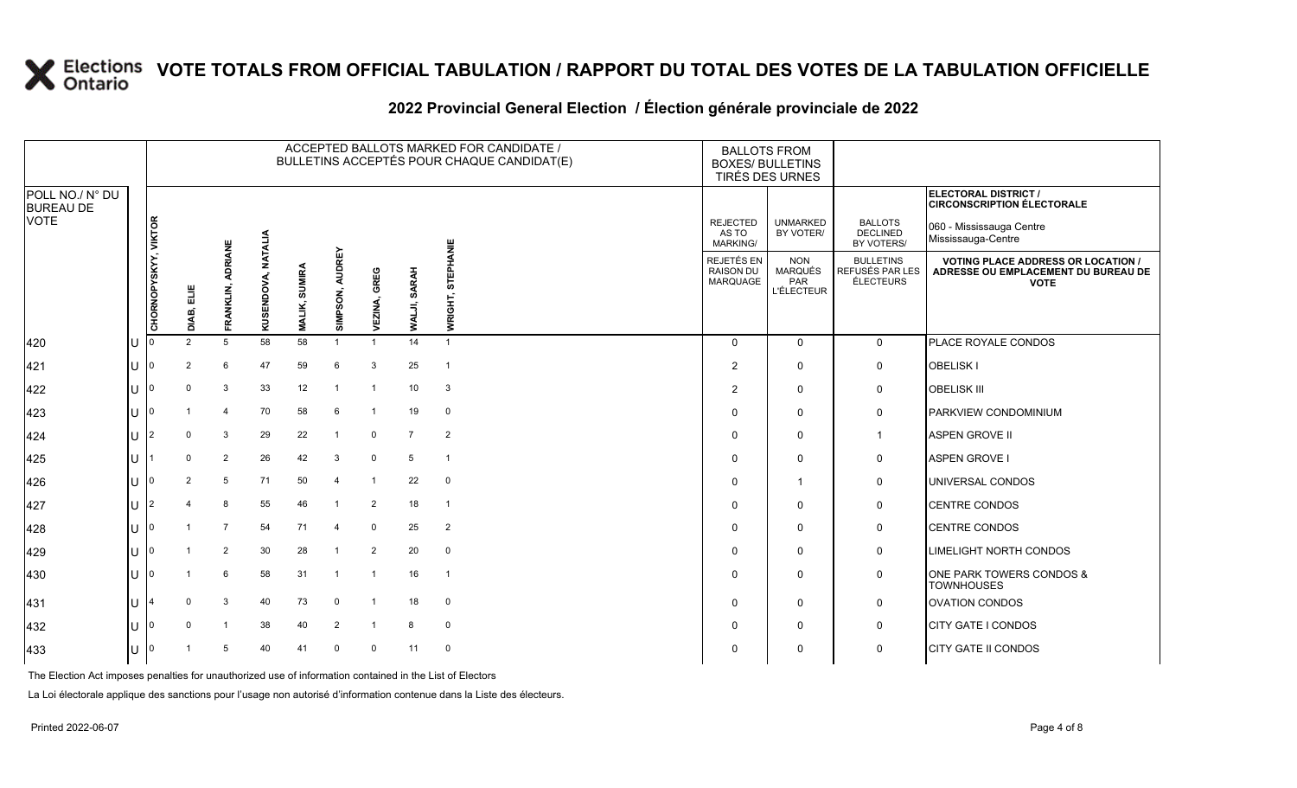#### **2022 Provincial General Election / Élection générale provinciale de 2022**

|                                                    |              |                      |                |                             |            |                                |                           |                  |                        | ACCEPTED BALLOTS MARKED FOR CANDIDATE /<br>BULLETINS ACCEPTÉS POUR CHAQUE CANDIDAT(E) | <b>BALLOTS FROM</b><br><b>BOXES/ BULLETINS</b><br>TIRÉS DES URNES |                                                   |                                                   |                                                         |                                                                                                 |
|----------------------------------------------------|--------------|----------------------|----------------|-----------------------------|------------|--------------------------------|---------------------------|------------------|------------------------|---------------------------------------------------------------------------------------|-------------------------------------------------------------------|---------------------------------------------------|---------------------------------------------------|---------------------------------------------------------|-------------------------------------------------------------------------------------------------|
| POLL NO./ N° DU<br><b>BUREAU DE</b><br><b>VOTE</b> |              |                      |                |                             |            |                                |                           |                  |                        |                                                                                       |                                                                   | <b>REJECTED</b>                                   | <b>UNMARKED</b>                                   | <b>BALLOTS</b>                                          | ELECTORAL DISTRICT /<br><b>CIRCONSCRIPTION ÉLECTORALE</b><br>060 - Mississauga Centre           |
|                                                    |              |                      |                |                             | NATALIA    |                                |                           |                  |                        |                                                                                       |                                                                   | AS TO<br><b>MARKING/</b>                          | BY VOTER/                                         | <b>DECLINED</b><br>BY VOTERS/                           | Mississauga-Centre                                                                              |
|                                                    |              | CHORNOPYSKYY, VIKTOR | DIAB, ELIE     | <b>ADRIANE</b><br>FRANKLIN, | KUSENDOVA, | <b>SUMIRA</b><br><b>MALIK,</b> | <b>AUDREY</b><br>SIMPSON, | EZINA, GREG<br>5 | <b>SARAH</b><br>WALJI, | <b>STEPHANIE</b><br>WRIGHT,                                                           |                                                                   | REJETÉS EN<br><b>RAISON DU</b><br><b>MARQUAGE</b> | <b>NON</b><br>MARQUÉS<br>PAR<br><b>L'ÉLECTEUR</b> | <b>BULLETINS</b><br>REFUSÉS PAR LES<br><b>ÉLECTEURS</b> | <b>VOTING PLACE ADDRESS OR LOCATION /</b><br>ADRESSE OU EMPLACEMENT DU BUREAU DE<br><b>VOTE</b> |
| 420                                                |              |                      | $\overline{2}$ | $5\phantom{.0}$             | 58         | 58                             | $\overline{1}$            | $\overline{1}$   | 14                     | $\overline{1}$                                                                        |                                                                   | $\Omega$                                          | $\Omega$                                          | $\mathbf 0$                                             | PLACE ROYALE CONDOS                                                                             |
| 421                                                | U            | 10.                  | $\overline{2}$ | 6                           | 47         | 59                             | 6                         | 3                | 25                     | $\mathbf{1}$                                                                          |                                                                   | $\overline{2}$                                    | $\mathbf 0$                                       | 0                                                       | <b>OBELISK I</b>                                                                                |
| 422                                                | U            |                      | $\mathbf 0$    | $\mathbf{3}$                | 33         | 12                             | -1                        | $\overline{1}$   | 10                     | 3                                                                                     |                                                                   | $\overline{2}$                                    | $\mathbf 0$                                       | 0                                                       | <b>OBELISK III</b>                                                                              |
| 423                                                | U            | I0                   |                | $\overline{4}$              | 70         | 58                             | 6                         | $\overline{1}$   | 19                     | $\mathbf 0$                                                                           |                                                                   | 0                                                 | $\mathbf 0$                                       | 0                                                       | PARKVIEW CONDOMINIUM                                                                            |
| 424                                                | U            | 12                   | $\Omega$       | 3                           | 29         | 22                             | $\overline{1}$            | $\mathbf 0$      | $\overline{7}$         | $\overline{2}$                                                                        |                                                                   | $\mathbf 0$                                       | $\mathbf 0$                                       | $\overline{1}$                                          | <b>ASPEN GROVE II</b>                                                                           |
| 425                                                | U            |                      | $\mathbf 0$    | $\overline{2}$              | 26         | 42                             | 3                         | $\mathbf 0$      | 5                      | $\overline{1}$                                                                        |                                                                   | $\Omega$                                          | $\mathbf 0$                                       | 0                                                       | <b>ASPEN GROVE I</b>                                                                            |
| 426                                                | lU.          | 10                   | $\overline{2}$ | 5                           | 71         | 50                             | $\overline{4}$            | $\overline{1}$   | 22                     | $\mathbf 0$                                                                           |                                                                   | 0                                                 | $\mathbf{1}$                                      | 0                                                       | UNIVERSAL CONDOS                                                                                |
| 427                                                | U            |                      |                | 8                           | 55         | 46                             | $\overline{1}$            | $\overline{2}$   | 18                     | $\overline{1}$                                                                        |                                                                   | 0                                                 | $\mathbf 0$                                       | 0                                                       | <b>CENTRE CONDOS</b>                                                                            |
| 428                                                | $\mathbf{U}$ | ١n                   |                | $\overline{7}$              | 54         | 71                             | $\overline{4}$            | $\mathbf 0$      | 25                     | 2                                                                                     |                                                                   | $\mathbf 0$                                       | $\mathbf 0$                                       | 0                                                       | <b>CENTRE CONDOS</b>                                                                            |
| 429                                                | lU.          | 10.                  |                | $\overline{2}$              | 30         | 28                             | $\overline{1}$            | $\overline{2}$   | 20                     | $\mathbf 0$                                                                           |                                                                   | $\mathbf 0$                                       | $\mathbf 0$                                       | 0                                                       | <b>LIMELIGHT NORTH CONDOS</b>                                                                   |
| 430                                                | $\mathbf{U}$ |                      |                | 6                           | 58         | 31                             | $\overline{1}$            | $\overline{1}$   | 16                     | $\overline{1}$                                                                        |                                                                   | 0                                                 | $\mathbf 0$                                       | 0                                                       | ONE PARK TOWERS CONDOS &<br><b>TOWNHOUSES</b>                                                   |
| 431                                                | $\cup$       |                      | $\Omega$       | $\mathbf{3}$                | 40         | 73                             | $\mathbf 0$               | $\overline{1}$   | 18                     | $\mathbf 0$                                                                           |                                                                   | $\Omega$                                          | $\mathbf 0$                                       | 0                                                       | OVATION CONDOS                                                                                  |
| 432                                                | U            | ۱n                   | $\Omega$       |                             | 38         | 40                             | 2                         | $\overline{1}$   | 8                      | $\mathbf 0$                                                                           |                                                                   | 0                                                 | $\mathbf 0$                                       | 0                                                       | <b>CITY GATE I CONDOS</b>                                                                       |
| 433                                                | lU.          | 10                   |                | 5                           | 40         | 41                             | $\Omega$                  | $\mathbf 0$      | 11                     | $\mathbf 0$                                                                           |                                                                   | $\Omega$                                          | 0                                                 | 0                                                       | <b>CITY GATE II CONDOS</b>                                                                      |

The Election Act imposes penalties for unauthorized use of information contained in the List of Electors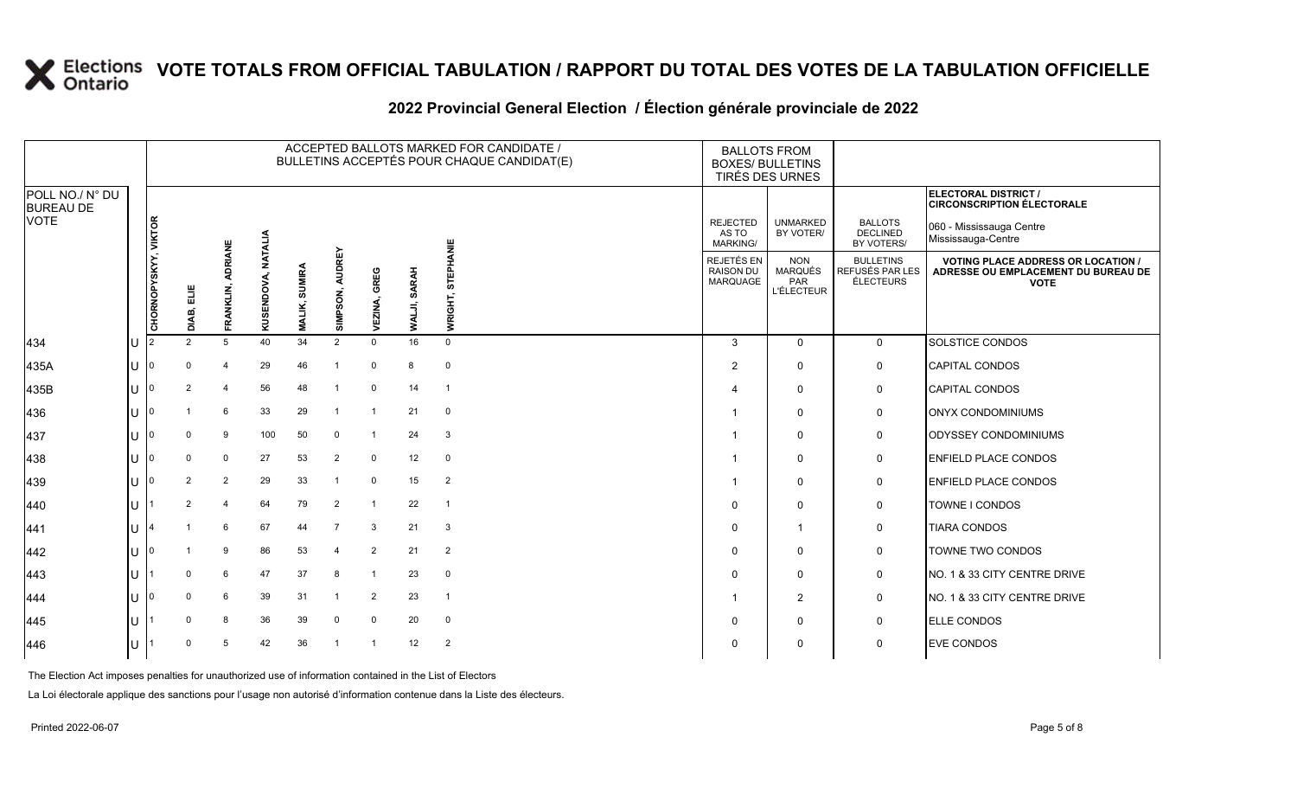#### **2022 Provincial General Election / Élection générale provinciale de 2022**

|                                     |     |                      |                |                      |                |                           |                           |                 |                        |                            | ACCEPTED BALLOTS MARKED FOR CANDIDATE /<br>BULLETINS ACCEPTÉS POUR CHAQUE CANDIDAT(E) |                                             | <b>BALLOTS FROM</b><br><b>BOXES/ BULLETINS</b><br>TIRÉS DES URNES |                                                         |                                                                                                 |
|-------------------------------------|-----|----------------------|----------------|----------------------|----------------|---------------------------|---------------------------|-----------------|------------------------|----------------------------|---------------------------------------------------------------------------------------|---------------------------------------------|-------------------------------------------------------------------|---------------------------------------------------------|-------------------------------------------------------------------------------------------------|
| POLL NO./ N° DU<br><b>BUREAU DE</b> |     |                      |                |                      |                |                           |                           |                 |                        |                            |                                                                                       |                                             |                                                                   |                                                         | <b>ELECTORAL DISTRICT /</b><br><b>CIRCONSCRIPTION ÉLECTORALE</b>                                |
| <b>VOTE</b>                         |     |                      |                |                      | <b>NATALIA</b> |                           |                           |                 |                        |                            |                                                                                       | <b>REJECTED</b><br>AS TO<br><b>MARKING/</b> | <b>UNMARKED</b><br>BY VOTER/                                      | <b>BALLOTS</b><br><b>DECLINED</b><br>BY VOTERS/         | 060 - Mississauga Centre<br>Mississauga-Centre                                                  |
|                                     |     | CHORNOPYSKYY, VIKTOR | DIAB, ELIE     | ADRIANE<br>FRANKLIN, | KUSENDOVA,     | <b>SUMIRA</b><br>MALIK, S | <b>AUDREY</b><br>SIMPSON, | GREG<br>VEZINA, | <b>SARAH</b><br>WALJI, | PHANIE<br>ш<br>5<br>WRIGHT |                                                                                       | REJETÉS EN<br><b>RAISON DU</b><br>MARQUAGE  | <b>NON</b><br><b>MARQUÉS</b><br>PAR<br><b>L'ÉLECTEUR</b>          | <b>BULLETINS</b><br>REFUSÉS PAR LES<br><b>ÉLECTEURS</b> | <b>VOTING PLACE ADDRESS OR LOCATION /</b><br>ADRESSE OU EMPLACEMENT DU BUREAU DE<br><b>VOTE</b> |
| 434                                 | IU. | 12                   | $\overline{2}$ | $5\phantom{.0}$      | 40             | 34                        | $\overline{2}$            | $\Omega$        | 16                     | $\mathbf 0$                |                                                                                       | $\mathbf{3}$                                | $\Omega$                                                          | $\mathbf{0}$                                            | SOLSTICE CONDOS                                                                                 |
| 435A                                | Iυ  | 10                   | $\Omega$       | $\overline{4}$       | 29             | 46                        | -1                        | $\mathbf 0$     | 8                      | $\mathbf 0$                |                                                                                       | 2                                           | $\mathbf 0$                                                       | $\mathsf{O}$                                            | <b>CAPITAL CONDOS</b>                                                                           |
| 435B                                | lU  |                      | 2              | $\overline{4}$       | 56             | 48                        | $\overline{1}$            | $\mathbf 0$     | 14                     | $\overline{1}$             |                                                                                       |                                             | 0                                                                 | $\mathbf 0$                                             | <b>CAPITAL CONDOS</b>                                                                           |
| 436                                 | lU  | ١n                   |                | 6                    | 33             | 29                        | $\overline{1}$            | $\overline{1}$  | 21                     | $\mathbf 0$                |                                                                                       |                                             | $\mathbf 0$                                                       | $\mathbf 0$                                             | ONYX CONDOMINIUMS                                                                               |
| 437                                 | lu  | 10                   | 0              | 9                    | 100            | 50                        | $\mathbf 0$               | $\overline{1}$  | 24                     | $\mathbf{3}$               |                                                                                       |                                             | $\mathbf 0$                                                       | $\mathbf 0$                                             | <b>ODYSSEY CONDOMINIUMS</b>                                                                     |
| 438                                 | lU  |                      | $\Omega$       | $\mathbf 0$          | 27             | 53                        | $\overline{2}$            | $\mathbf 0$     | 12                     | $\mathbf 0$                |                                                                                       |                                             | $\mathbf 0$                                                       | $\mathbf 0$                                             | <b>ENFIELD PLACE CONDOS</b>                                                                     |
| 439                                 | IU. | ١O                   | 2              | 2                    | 29             | 33                        | $\overline{1}$            | $\mathbf 0$     | 15                     | $\overline{2}$             |                                                                                       |                                             | $\mathbf 0$                                                       | $\mathbf 0$                                             | <b>ENFIELD PLACE CONDOS</b>                                                                     |
| 440                                 | ΙU  |                      | 2              | 4                    | 64             | 79                        | $\overline{2}$            | $\overline{1}$  | 22                     | $\overline{1}$             |                                                                                       | $\Omega$                                    | 0                                                                 | 0                                                       | TOWNE I CONDOS                                                                                  |
| 441                                 | lU. |                      |                | 6                    | 67             | 44                        | $\overline{7}$            | 3               | 21                     | $\mathbf{3}$               |                                                                                       | $\Omega$                                    | $\mathbf{1}$                                                      | $\mathbf 0$                                             | <b>TIARA CONDOS</b>                                                                             |
| 442                                 | ΙU  | ١O                   |                | 9                    | 86             | 53                        | $\overline{4}$            | 2               | 21                     | 2                          |                                                                                       | $\Omega$                                    | $\mathbf 0$                                                       | $\mathbf 0$                                             | TOWNE TWO CONDOS                                                                                |
| 443                                 | lu  |                      | $\Omega$       | 6                    | 47             | 37                        | 8                         | $\overline{1}$  | 23                     | $\mathbf 0$                |                                                                                       | $\Omega$                                    | $\mathbf 0$                                                       | 0                                                       | NO. 1 & 33 CITY CENTRE DRIVE                                                                    |
| 444                                 | IU. |                      | <sup>0</sup>   | 6                    | 39             | 31                        |                           | $\overline{2}$  | 23                     | $\overline{1}$             |                                                                                       |                                             | $\overline{2}$                                                    | 0                                                       | NO. 1 & 33 CITY CENTRE DRIVE                                                                    |
| 445                                 | lU  |                      | $\Omega$       | 8                    | 36             | 39                        | $\mathbf 0$               | $\mathbf 0$     | 20                     | $\mathbf 0$                |                                                                                       | $\Omega$                                    | $\mathbf 0$                                                       | $\mathbf 0$                                             | <b>ELLE CONDOS</b>                                                                              |
| 446                                 | lU  |                      |                | 5                    | 42             | 36                        |                           |                 | 12                     | 2                          |                                                                                       | $\Omega$                                    | 0                                                                 | $\mathbf 0$                                             | <b>EVE CONDOS</b>                                                                               |

The Election Act imposes penalties for unauthorized use of information contained in the List of Electors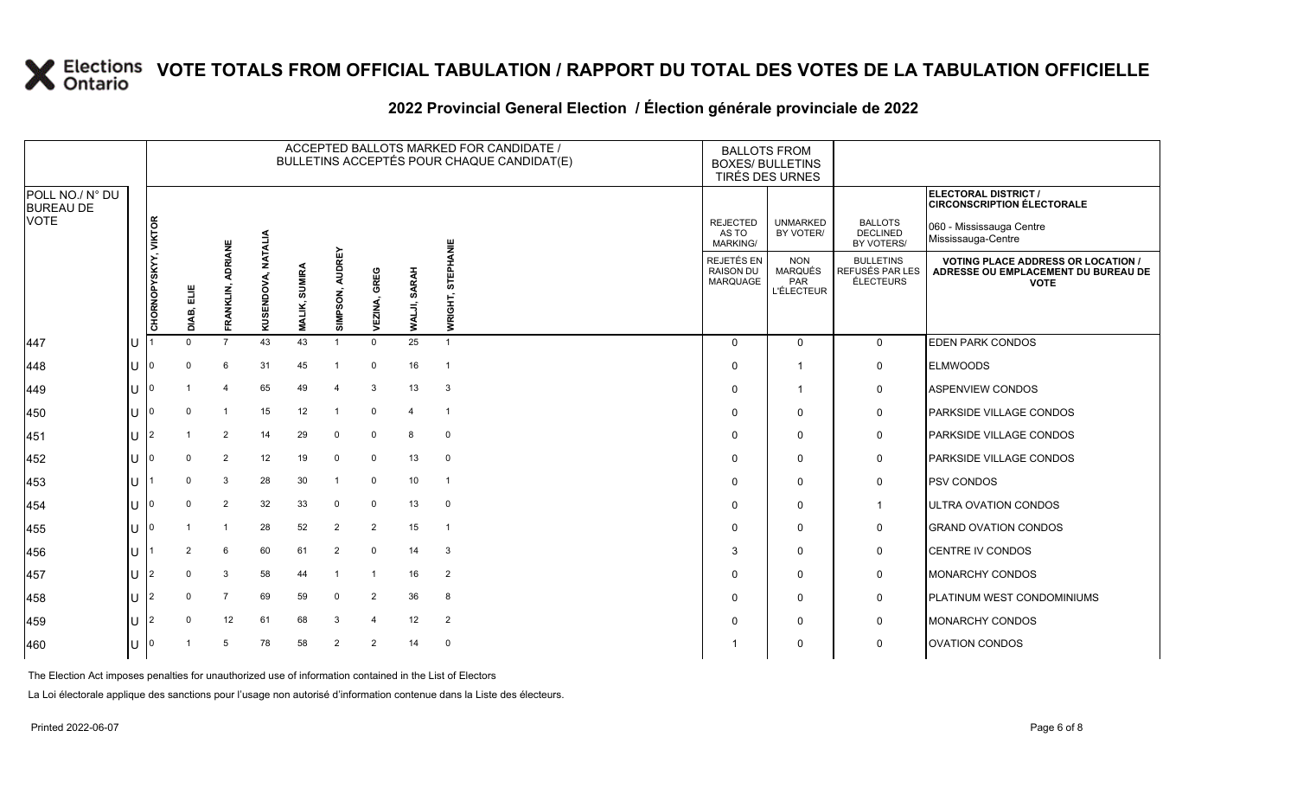### **2022 Provincial General Election / Élection générale provinciale de 2022**

|                                     |     |                      |                    |                      |            |                                |                           |                 |                        |                            | ACCEPTED BALLOTS MARKED FOR CANDIDATE /<br>BULLETINS ACCEPTÉS POUR CHAQUE CANDIDAT(E) | <b>BALLOTS FROM</b><br><b>BOXES/ BULLETINS</b><br>TIRÉS DES URNES |                                                          |                                                         |                                                                                                 |
|-------------------------------------|-----|----------------------|--------------------|----------------------|------------|--------------------------------|---------------------------|-----------------|------------------------|----------------------------|---------------------------------------------------------------------------------------|-------------------------------------------------------------------|----------------------------------------------------------|---------------------------------------------------------|-------------------------------------------------------------------------------------------------|
| POLL NO./ N° DU<br><b>BUREAU DE</b> |     |                      |                    |                      |            |                                |                           |                 |                        |                            |                                                                                       |                                                                   |                                                          |                                                         | ELECTORAL DISTRICT /<br><b>CIRCONSCRIPTION ÉLECTORALE</b>                                       |
| <b>VOTE</b>                         |     |                      |                    |                      | NATALIA    |                                |                           |                 |                        |                            |                                                                                       | <b>REJECTED</b><br>AS TO<br><b>MARKING/</b>                       | <b>UNMARKED</b><br>BY VOTER/                             | <b>BALLOTS</b><br><b>DECLINED</b><br>BY VOTERS/         | 060 - Mississauga Centre<br>Mississauga-Centre                                                  |
|                                     |     | CHORNOPYSKYY, VIKTOR | ELIE<br>E<br>DIAB, | ADRIANE<br>FRANKLIN, | KUSENDOVA, | <b>SUMIRA</b><br><b>MALIK,</b> | <b>AUDREY</b><br>SIMPSON, | GREG<br>VEZINA, | <b>SARAH</b><br>WALJI, | PHANIE<br>ш<br>5<br>WRIGHT |                                                                                       | REJETÉS EN<br><b>RAISON DU</b><br>MARQUAGE                        | <b>NON</b><br><b>MARQUÉS</b><br>PAR<br><b>L'ÉLECTEUR</b> | <b>BULLETINS</b><br>REFUSÉS PAR LES<br><b>ÉLECTEURS</b> | <b>VOTING PLACE ADDRESS OR LOCATION /</b><br>ADRESSE OU EMPLACEMENT DU BUREAU DE<br><b>VOTE</b> |
| 447                                 | lU  |                      | $\Omega$           | $\overline{7}$       | 43         | 43                             | -1                        | $\mathbf{0}$    | 25                     | $\mathbf{1}$               |                                                                                       | $\Omega$                                                          | $\Omega$                                                 | $\mathbf{0}$                                            | <b>EDEN PARK CONDOS</b>                                                                         |
| 448                                 | IU. | 10                   | $\Omega$           | 6                    | 31         | 45                             | - 1                       | $\mathbf 0$     | 16                     | $\overline{\mathbf{1}}$    |                                                                                       | $\Omega$                                                          | 1                                                        | $\mathbf 0$                                             | <b>ELMWOODS</b>                                                                                 |
| 449                                 | lU  |                      |                    | 4                    | 65         | 49                             | $\overline{4}$            | 3               | 13                     | 3                          |                                                                                       | $\Omega$                                                          | $\mathbf 1$                                              | $\mathbf 0$                                             | ASPENVIEW CONDOS                                                                                |
| 450                                 | lU  | ۱n                   | $\Omega$           |                      | 15         | 12                             | $\overline{1}$            | $\mathbf 0$     | $\overline{4}$         | $\overline{1}$             |                                                                                       | $\Omega$                                                          | $\mathbf 0$                                              | $\mathbf 0$                                             | <b>PARKSIDE VILLAGE CONDOS</b>                                                                  |
| 451                                 | lu  | 12                   |                    | $\overline{2}$       | 14         | 29                             | $\mathbf 0$               | $\mathbf 0$     | 8                      | $\mathbf 0$                |                                                                                       | $\Omega$                                                          | $\mathbf 0$                                              | $\mathbf 0$                                             | <b>PARKSIDE VILLAGE CONDOS</b>                                                                  |
| 452                                 | lU  |                      | $\Omega$           | 2                    | 12         | 19                             | $\overline{0}$            | $\mathbf 0$     | 13                     | $\mathbf 0$                |                                                                                       | $\Omega$                                                          | $\mathbf 0$                                              | $\mathbf 0$                                             | PARKSIDE VILLAGE CONDOS                                                                         |
| 453                                 | lU. |                      | $\Omega$           | 3                    | 28         | 30                             | $\overline{1}$            | $\mathbf 0$     | 10                     | $\overline{\mathbf{1}}$    |                                                                                       | $\Omega$                                                          | $\mathbf 0$                                              | $\mathbf 0$                                             | <b>PSV CONDOS</b>                                                                               |
| 454                                 | ΙU  |                      | $\Omega$           | $\overline{2}$       | 32         | 33                             | $\mathbf 0$               | $\mathbf 0$     | 13                     | $\mathbf 0$                |                                                                                       | $\Omega$                                                          | 0                                                        | $\overline{1}$                                          | ULTRA OVATION CONDOS                                                                            |
| 455                                 | lU. | ١n                   |                    |                      | 28         | 52                             | $\overline{2}$            | $\overline{2}$  | 15                     | $\overline{1}$             |                                                                                       | $\Omega$                                                          | $\mathbf 0$                                              | $\mathbf 0$                                             | <b>GRAND OVATION CONDOS</b>                                                                     |
| 456                                 | U   |                      | $\overline{2}$     | 6                    | 60         | 61                             | $\overline{2}$            | $\mathbf 0$     | 14                     | 3                          |                                                                                       | 3                                                                 | $\Omega$                                                 | $\mathbf 0$                                             | <b>CENTRE IV CONDOS</b>                                                                         |
| 457                                 | ΙU  | 12                   | $\Omega$           | 3                    | 58         | 44                             |                           | $\overline{1}$  | 16                     | $\overline{2}$             |                                                                                       | $\Omega$                                                          | $\mathbf 0$                                              | $\mathbf 0$                                             | <b>MONARCHY CONDOS</b>                                                                          |
| 458                                 | IU. |                      | <sup>0</sup>       | $\overline{7}$       | 69         | 59                             | $\Omega$                  | $\overline{2}$  | 36                     | 8                          |                                                                                       | $\Omega$                                                          | $\mathbf 0$                                              | 0                                                       | PLATINUM WEST CONDOMINIUMS                                                                      |
| 459                                 | lU  | 12                   | $\Omega$           | 12                   | 61         | 68                             | 3                         | $\overline{4}$  | 12                     | $\overline{2}$             |                                                                                       | $\Omega$                                                          | $\mathbf 0$                                              | $\mathbf 0$                                             | <b>MONARCHY CONDOS</b>                                                                          |
| 460                                 | ΙU  |                      |                    | 5                    | 78         | 58                             | $\overline{2}$            | $\overline{2}$  | 14                     | $\mathbf 0$                |                                                                                       |                                                                   | 0                                                        | $\mathsf{O}$                                            | <b>OVATION CONDOS</b>                                                                           |

The Election Act imposes penalties for unauthorized use of information contained in the List of Electors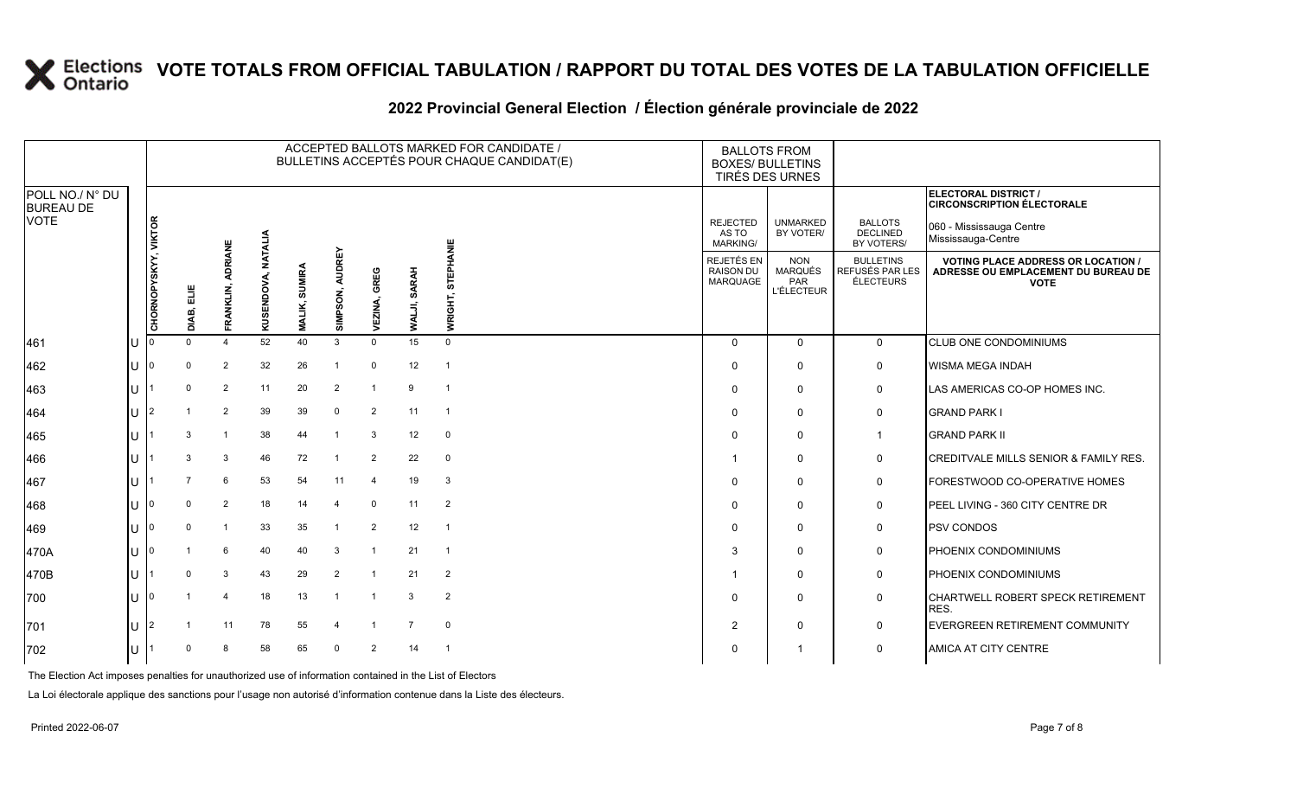#### **2022 Provincial General Election / Élection générale provinciale de 2022**

|                                     | ACCEPTED BALLOTS MARKED FOR CANDIDATE /<br>BULLETINS ACCEPTÉS POUR CHAQUE CANDIDAT(E) |                      |            |                       |                |                                |                           |                 |                        |                     | <b>BALLOTS FROM</b><br><b>BOXES/ BULLETINS</b><br>TIRÉS DES URNES |                                                          |                                                  |                                                                                               |
|-------------------------------------|---------------------------------------------------------------------------------------|----------------------|------------|-----------------------|----------------|--------------------------------|---------------------------|-----------------|------------------------|---------------------|-------------------------------------------------------------------|----------------------------------------------------------|--------------------------------------------------|-----------------------------------------------------------------------------------------------|
| POLL NO./ N° DU<br><b>BUREAU DE</b> |                                                                                       |                      |            |                       |                |                                |                           |                 |                        |                     |                                                                   |                                                          |                                                  | ELECTORAL DISTRICT /<br><b>CIRCONSCRIPTION ÉLECTORALE</b>                                     |
| <b>VOTE</b>                         |                                                                                       |                      |            |                       | <b>NATALIA</b> |                                |                           |                 |                        |                     | <b>REJECTED</b><br>AS TO<br>MARKING/                              | <b>UNMARKED</b><br>BY VOTER/                             | <b>BALLOTS</b><br><b>DECLINED</b><br>BY VOTERS/  | 060 - Mississauga Centre<br>Mississauga-Centre                                                |
|                                     |                                                                                       | CHORNOPYSKYY, VIKTOR | 븝<br>DIAB, | ADRIANE<br>FRANKLIN,  | KUSENDOVA,     | <b>SUMIRA</b><br><b>MALIK,</b> | <b>AUDREY</b><br>SIMPSON, | GREG<br>VEZINA, | <b>SARAH</b><br>WALJI, | STEPHANIE<br>WRIGHT | REJETÉS EN<br><b>RAISON DU</b><br><b>MARQUAGE</b>                 | <b>NON</b><br><b>MARQUÉS</b><br>PAR<br><b>L'ÉLECTEUR</b> | <b>BULLETINS</b><br>REFUSÉS PAR LES<br>ÉLECTEURS | <b>VOTING PLACE ADDRESS OR LOCATION</b><br>ADRESSE OU EMPLACEMENT DU BUREAU DE<br><b>VOTE</b> |
| 461                                 | lU                                                                                    |                      | $\Omega$   | $\boldsymbol{\Delta}$ | 52             | 40                             | 3                         | $\Omega$        | 15                     | $\Omega$            | $\Omega$                                                          | $\mathbf 0$                                              | $\mathbf 0$                                      | CLUB ONE CONDOMINIUMS                                                                         |
| 462                                 | U                                                                                     |                      | $\Omega$   | 2                     | 32             | 26                             | $\mathbf{1}$              | $\Omega$        | 12                     | $\overline{1}$      | $\Omega$                                                          | $\Omega$                                                 | 0                                                | WISMA MEGA INDAH                                                                              |
| 463                                 | U                                                                                     |                      | $\Omega$   | 2                     | 11             | 20                             | 2                         | $\overline{1}$  | 9                      | - 1                 | $\Omega$                                                          | $\Omega$                                                 | $\mathbf 0$                                      | LAS AMERICAS CO-OP HOMES INC.                                                                 |
| 464                                 | U                                                                                     | $\overline{2}$       |            | 2                     | 39             | 39                             | $\Omega$                  | 2               | 11                     | $\overline{1}$      | $\Omega$                                                          | $\mathbf 0$                                              | 0                                                | <b>GRAND PARK I</b>                                                                           |
| 465                                 | lΗ                                                                                    |                      | 3          | $\overline{1}$        | 38             | 44                             | $\overline{1}$            | 3               | 12                     | $\mathbf 0$         | $\Omega$                                                          | $\mathbf 0$                                              | $\mathbf{1}$                                     | <b>GRAND PARK II</b>                                                                          |
| 466                                 | lΗ                                                                                    |                      | 3          | 3                     | 46             | 72                             | $\overline{1}$            | 2               | 22                     | $\mathbf 0$         |                                                                   | $\Omega$                                                 | $\mathbf 0$                                      | <b>CREDITVALE MILLS SENIOR &amp; FAMILY RES.</b>                                              |
| 467                                 | lΗ                                                                                    |                      |            | 6                     | 53             | 54                             | 11                        | $\overline{4}$  | 19                     | 3                   | $\Omega$                                                          | $\Omega$                                                 | 0                                                | FORESTWOOD CO-OPERATIVE HOMES                                                                 |
| 468                                 | ΠT                                                                                    | $\Omega$             | $\Omega$   | 2                     | 18             | 14                             |                           | $\Omega$        | 11                     | $\overline{2}$      | $\Omega$                                                          | $\Omega$                                                 | 0                                                | PEEL LIVING - 360 CITY CENTRE DR                                                              |
| 469                                 | ΠT                                                                                    |                      | $\Omega$   | $\overline{1}$        | 33             | 35                             |                           | 2               | 12                     | $\overline{1}$      | $\Omega$                                                          | $\Omega$                                                 | $\mathbf 0$                                      | <b>PSV CONDOS</b>                                                                             |
| 470A                                | lU.                                                                                   |                      |            | 6                     | 40             | 40                             | 3                         | $\overline{1}$  | 21                     | - 1                 | 3                                                                 | $\mathbf 0$                                              | 0                                                | PHOENIX CONDOMINIUMS                                                                          |
| 470B                                | ΙU                                                                                    |                      | $\Omega$   | 3                     | 43             | 29                             | 2                         | $\mathbf{1}$    | 21                     | 2                   |                                                                   | $\Omega$                                                 | 0                                                | PHOENIX CONDOMINIUMS                                                                          |
| 700                                 | ΠT                                                                                    |                      |            | $\overline{4}$        | 18             | 13                             | $\overline{1}$            | $\overline{1}$  | 3                      | $\overline{2}$      | $\Omega$                                                          | $\Omega$                                                 | 0                                                | CHARTWELL ROBERT SPECK RETIREMENT<br>RES.                                                     |
| 701                                 | ΙU                                                                                    | $\overline{2}$       |            | 11                    | 78             | 55                             | $\overline{4}$            | $\mathbf{1}$    | $\overline{7}$         | $\mathbf 0$         | 2                                                                 | $\Omega$                                                 | $\mathbf 0$                                      | EVERGREEN RETIREMENT COMMUNITY                                                                |
| 702                                 | ΙU                                                                                    |                      | $\Omega$   | 8                     | 58             | 65                             | $\Omega$                  | 2               | 14                     | $\overline{1}$      | $\Omega$                                                          |                                                          | $\mathbf 0$                                      | AMICA AT CITY CENTRE                                                                          |

The Election Act imposes penalties for unauthorized use of information contained in the List of Electors